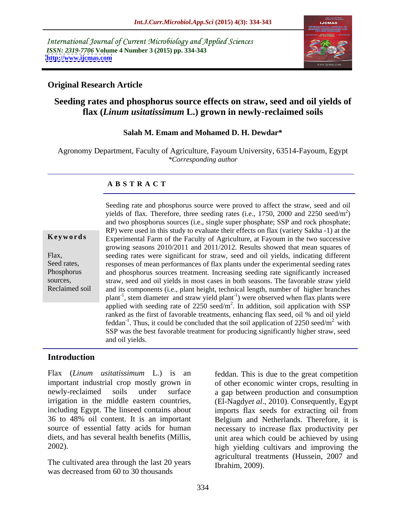International Journal of Current Microbiology and Applied Sciences *ISSN: 2319-7706* **Volume 4 Number 3 (2015) pp. 334-343 <http://www.ijcmas.com>**



## **Original Research Article**

# **Seeding rates and phosphorus source effects on straw, seed and oil yields of flax (***Linum usitatissimum* **L.) grown in newly-reclaimed soils**

### **Salah M. Emam and Mohamed D. H. Dewdar\***

Agronomy Department, Faculty of Agriculture, Fayoum University, 63514-Fayoum, Egypt *\*Corresponding author*

### **A B S T R A C T**

Reclaimed soil

Seeding rate and phosphorus source were proved to affect the straw, seed and oil yields of flax. Therefore, three seeding rates (i.e., 1750, 2000 and 2250 seed/m<sup>2</sup>)  $2\lambda$  $)$ and two phosphorus sources (i.e., single super phosphate; SSP and rock phosphate; RP) were used in this study to evaluate their effects on flax (variety Sakha -1) at the Experimental Farm of the Faculty of Agriculture, at Fayoum in the two successive **Ke ywo rds** growing seasons 2010/2011 and 2011/2012. Results showed that mean squares of seeding rates were significant for straw, seed and oil yields, indicating different Flax, Seed rates, responses of mean performances of flax plants under the experimental seeding rates and phosphorus sources treatment. Increasing seeding rate significantly increased Phosphorus sources, straw, seed and oil yields in most cases in both seasons. The favorable straw yield and its components (i.e., plant height, technical length, number of higher branches plant<sup>-1</sup>, stem diameter and straw yield plant<sup>-1</sup>) were observed when flax plants were applied with seeding rate of  $2250$  seed/m<sup>2</sup>. In addition, soil application with SSP ranked as the first of favorable treatments, enhancing flax seed, oil % and oil yield feddan<sup>-1</sup>. Thus, it could be concluded that the soil application of 2250 seed/m<sup>2</sup> with SSP was the best favorable treatment for producing significantly higher straw, seed and oil yields.

### **Introduction**

Flax (*Linum usitatissimum* L.) is an important industrial crop mostly grown in of other economic winter crops, resulting in newly-reclaimed soils under surface a gap between production and consumption irrigation in the middle eastern countries, (El-Nagdy*et al*., 2010). Consequently, Egypt including Egypt. The linseed contains about imports flax seeds for extracting oil from 36 to 48% oil content. It is an important Belgium and Netherlands. Therefore, it is source of essential fatty acids for human necessary to increase flax productivity per diets, and has several health benefits (Millis, unit area which could be achieved by using

The cultivated area through the last 20 years was decreased from 60 to 30 thousands

2002). high yielding cultivars and improving the feddan. This is due to the great competition agricultural treatments (Hussein, 2007 and Ibrahim, 2009).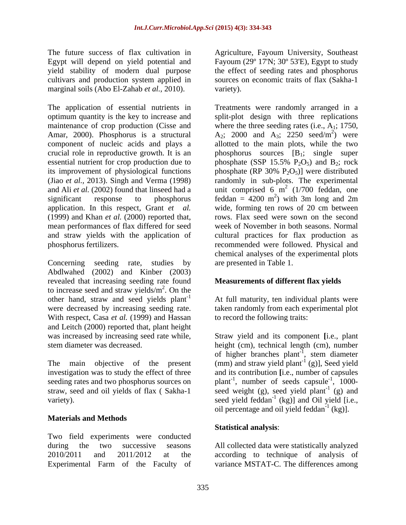The future success of flax cultivation in Agriculture, Fayoum University, Southeast Egypt will depend on yield potential and Fayoum (29º 17'N; 30º 53'E), Egypt to study yield stability of modern dual purpose cultivars and production system applied in marginal soils (Abo El-Zahab *et al.,* 2010).

The application of essential nutrients in Treatmentswere randomly arranged in a optimum quantity is the key to increase and split-plot design with three replications maintenance of crop production (Cisse and where the three seeding rates (i.e., A<sub>1</sub>; 1750, Amar, 2000). Phosphorus is a structural  $A_2$ ; 2000 and  $A_3$ ; 2250 seed/m<sup>2</sup>) were component of nucleic acids and plays a allotted to the main plots, while the two crucial role in reproductive growth. It is an  $\qquad$  phosphorus sources  $[B_1; \text{ single super}]$ essential nutrient for crop production due to bhosphate (SSP 15.5%  $P_2O_5$ ) and  $B_2$ ; rock its improvement of physiological functions phosphate (RP  $30\%$  P<sub>2</sub>O<sub>5</sub>)] were distributed (Jiao *et al.,* 2013). Singh and Verma (1998) randomly in sub-plots. The experimental and Ali *et al.* (2002) found that linseed had a unit comprised  $6 \text{ m}^2$  (1/700 feddan, one significant response to phosphorus feddan =  $4200 \text{ m}^2$ ) with 3m long and 2m application. In this respect, Grant *et al.* wide, forming ten rows of 20 cm between (1999) and Khan *et al.* (2000) reported that, mean performances of flax differed for seed and straw yields with the application of cultural practices for flax production as phosphorus fertilizers. recommended were followed. Physical and

Concerning seeding rate, studies by Abdlwahed (2002) and Kinber (2003) revealed that increasing seeding rate found to increase seed and straw yields/ $m<sup>2</sup>$ . On the  $\frac{2}{2}$  On the . On the other hand, straw and seed yields plant<sup>-1</sup> were decreased by increasing seeding rate. taken randomly from each experimental plot With respect, Casa *et al.* (1999) and Hassan and Leitch (2000) reported that, plant height

### **Materials and Methods**

Two field experiments were conducted during the two successive seasons All collected data were statistically analyzed 2010/2011 and 2011/2012 at the according to technique of analysis of Experimental Farm of the Faculty of variance MSTAT-C. The differences among

the effect of seeding rates and phosphorus sources on economic traits of flax (Sakha-1 variety).

 $2\sqrt{2}$ ) were phosphate (SSP  $15.5\%$   $P_2O_5$ ) and  $B_2$ ; rock phosphate (RP 30%  $P_2O_5$ )] were distributed (1/700 feddan, one ) with 3m long and 2m rows. Flax seed were sown on the second week of November in both seasons. Normal chemical analyses of the experimental plots are presented in Table 1.

### **Measurements of different flax yields**

At full maturity, ten individual plants were to record the following traits:

was increased by increasing seed rate while, Straw yield and its component **[**i.e., plant stem diameter was decreased. height (cm), technical length (cm), number The main objective of the present  $\text{(mm)}$  and straw yield plant<sup>-1</sup> (g)], Seed yield investigation was to study the effect of three and its contribution **[**i.e., number of capsules seeding rates and two phosphorus sources on  $\mu$  plant<sup>-1</sup>, number of seeds capsule<sup>-1</sup>, 1000straw, seed and oil yields of flax (Sakha-1 seed weight (g), seed yield plant<sup>-1</sup> (g) and variety). Seed yield feddan<sup>-1</sup> (kg)] and Oil yield [i.e., of higher branches plant<sup>-1</sup>, stem diameter , stem diameter (g)], Seed yield  $-1.1000$ , 1000- (g) and (kg)] and Oil yield [i.e., oil percentage and oil yield feddan<sup>-1</sup> (kg). (kg)].

### **Statistical analysis**: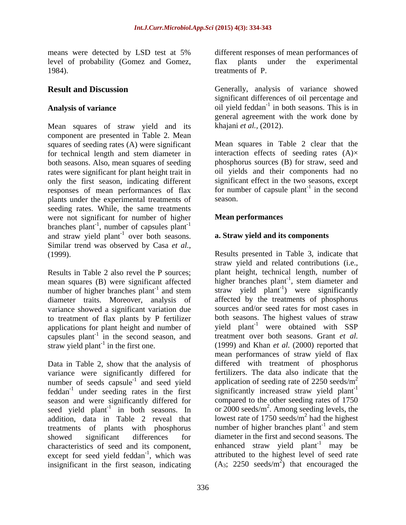level of probability (Gomez and Gomez, 1984). treatments of P.

Mean squares of straw yield and its component are presented in Table 2. Mean squares of seeding rates (A) were significant for technical length and stem diameter in interaction effects of seeding rates (A)× both seasons. Also, mean squares of seeding rates were significant for plant height trait in only the first season, indicating different responses of mean performances of flax plants under the experimental treatments of season. seeding rates. While, the same treatments were not significant for number of higher **Mean performances** branches  $plant^{-1}$ , number of capsules  $plant^{-1}$ and straw yield plant<sup>-1</sup> over both seasons. Similar trend was observed by Casa *et al.,*

Results in Table 2 also revel the P sources; mean squares (B) were significant affected diameter traits. Moreover, analysis of variance showed a significant variation due to treatment of flax plants by P fertilizer applications for plant height and number of capsules plant<sup>-1</sup> in the second season, and straw yield plant<sup>-1</sup> in the first one.

Data in Table 2, show that the analysis of variance were significantly differed for number of seeds capsule<sup>-1</sup> and seed yield  $f$ eddan<sup>-1</sup> under seeding rates in the first season and were significantly differed for seed yield  $plant^{-1}$  in both seasons. In addition, data in Table 2 reveal that treatments of plants with phosphorus characteristics of seed and its component, except for seed yield feddan<sup>-1</sup>, which was insignificant in the first season, indicating

means were detected by LSD test at 5% different responses of mean performances of different responses of mean performances of flax plants under the experimental treatments of P.

**Result and Discussion** Generally, analysis of variance showed Analysis of variance oil yield feddan<sup>-1</sup> in both seasons. This is in significant differences of oil percentage and in both seasons. This is in general agreement with the work done by khajani *et al.,* (2012).

> Mean squares in Table 2 clear that the phosphorus sources (B) for straw, seed and oil yields and their components had no significant effect in the two seasons, except for number of capsule plant<sup>-1</sup> in the second in the second season.

## **Mean performances**

# over both seasons. **a. Straw yield and its components**

(1999). Results presented in Table 3, indicate that number of higher branches plant<sup>-1</sup> and stem straw yield plant<sup>-1</sup>) were significantly in the second season, and treatment over both seasons. Grant *et al.* straw yield plant<sup>-1</sup> in the first one. (1999) and Khan *et al.* (2000) reported that <sup>-1</sup> and seed yield application of seeding rate of 2250 seeds/ $m<sup>2</sup>$ under seeding rates in the first significantly increased straw yield plant<sup>-1</sup> in both seasons. In or  $2000$  seeds/m<sup>2</sup>. Among seeding levels, the showed significant differences for diameter in the first and second seasons. The <sup>-1</sup>, which was attributed to the highest level of seed rate straw yield and related contributions (i.e., plant height, technical length, number of higher branches plant<sup>-1</sup>, stem diameter and , stem diameter and ) were significantly affected by the treatments of phosphorus sources and/or seed rates for most cases in both seasons. The highest values of straw yield  $plant^{-1}$  were obtained with SSP were obtained with SSP mean performances of straw yield of flax differed with treatment of phosphorus fertilizers. The data also indicate that the 2 compared to the other seeding rates of 1750 lowest rate of 1750 seeds/ $m<sup>2</sup>$  had the highest  $^{2}$  had the highest had the highest number of higher branches  $plant^{-1}$  and stem and stem enhanced straw yield  $plant^{-1}$  may be may be  $(A_3; 2250 \text{ seeds/m}^2)$  that encouraged the ) that encouraged the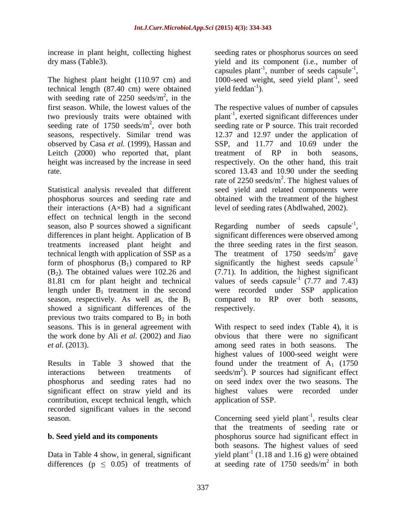increase in plant height, collecting highest

technical length  $(87.40 \text{ cm})$  were obtained yield feddan<sup>-1</sup>). with seeding rate of  $2250 \text{ seeds/m}^2$ , in the first season. While, the lowest values of the  $\frac{2}{3}$  in the , in the seeding rate of 1750 seeds/ $m<sup>2</sup>$ , over both Leitch (2000) who reported that, plant

Statistical analysis revealed that different seed yield and related components were phosphorus sources and seeding rate and obtained with the treatment of the highest their interactions (A×B) had a significant effect on technical length in the second season, also P sources showed a significant season, also P sources showed a significant Regarding number of seeds capsule<sup>-1</sup>,<br>differences in plant height. Application of B significant differences were observed among treatments increased plant height and the three seeding rates in the first season. technical length with application of SSP as a form of phosphorus  $(B_1)$  compared to RP  $(B_2)$ . The obtained values were 102.26 and  $(B_2)$ . The obtained values were 102.26 and (7.71). In addition, the highest significant 81.81 cm for plant height and technical values of seeds capsule<sup>-1</sup>  $(7.77 \text{ and } 7.43)$ length under  $B_1$  treatment in the second were recorded under SSP application season, respectively. As well as, the  $B_1$  compared to RP over both seasons, showed a significant differences of the previous two traits compared to  $B_2$  in both seasons. This is in general agreement with With respect to seed index (Table 4), it is the work done by Ali *et al.* (2002) and Jiao obvious that there were no significant

contribution, except technical length, which recorded significant values in the second season. Concerning seed yield plant<sup>-1</sup>, results clear

differences ( $p \leq 0.05$ ) of treatments of at seeding rate of 1750 seeds/m<sup>2</sup> in both

dry mass (Table3). yield and its component (i.e., number of The highest plant height (110.97 cm) and  $1000$ -seed weight, seed yield plant<sup>1</sup>, seed seeding rates or phosphorus sources on seed capsules plant<sup>-1</sup>, number of seeds capsule<sup>-1</sup>, -1 capsules plant<sup>-1</sup>, number of seeds capsule<sup>-1</sup>,<br>1000-seed weight, seed yield plant<sup>-1</sup>, seed , seed  $yield$  feddan<sup>-1</sup>). ).

first season. While, the lowest values of the The respective values of number of capsules two previously traits were obtained with plant<sup>-1</sup>, exerted significant differences under <sup>2</sup>, over both seeding rate or P source. This trait recorded seasons, respectively. Similar trend was 12.37 and 12.97 under the application of observed by Casa *et al.* (1999), Hassan and SSP, and 11.77 and 10.69 under the height was increased by the increase in seed respectively. On the other hand, this trait rate. scored 13.43 and 10.90 under the seeding treatment of RP in both seasons, rate of 2250 seeds/ $m^2$ . The highest values of level of seeding rates (Abdlwahed, 2002).

> Regarding number of seeds capsule<sup>-1</sup>, -1 The treatment of  $1750 \text{ seeds/m}^2$  gave 2  $\infty$ gave significantly the highest seeds capsule $^{-1}$ -1  $-1$  (7.77 and 7.43) respectively.

*et al*. (2013). among seed rates in both seasons. The Results in Table 3 showed that the found under the treatment of  $A_1$  (1750 interactions between treatments of seeds/ $m<sup>2</sup>$ ). P sources had significant effect phosphorus and seeding rates had no on seed index over the two seasons. The significant effect on straw yield and its highest values were recorded under highest values of 1000-seed weight were application of SSP.

**b. Seed yield and its components** phosphorus source had significant effect in Data in Table 4 show, in general, significant yield plant<sup>-1</sup> (1.18 and 1.16 g) were obtained , results clear that the treatments of seeding rate or both seasons. The highest values of seed  $^2$  in hoth in both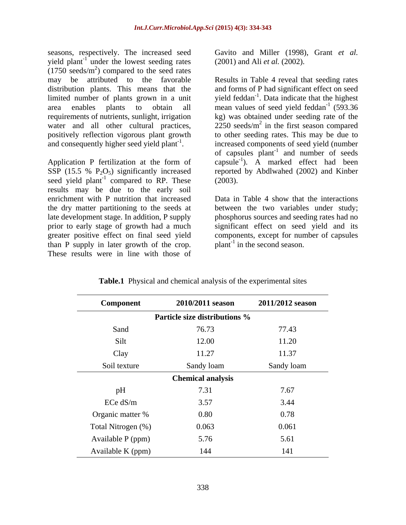seasons, respectively. The increased seed yield plant<sup>-1</sup> under the lowest seeding rates (2001) and Ali *et al.* (2002).  $(1750 \text{ seeds/m}^2)$  compared to the seed rates may be attributed to the favorable Results in Table 4 reveal that seeding rates distribution plants. This means that the limited number of plants grown in a unit yield feddan<sup>-1</sup>. Data indicate that the highest area enables plants to obtain all mean-values of seed-yield-feddan<sup>-1</sup> (593.36 requirements of nutrients, sunlight, irrigation kg) was obtained under seeding rate of the water and all other cultural practices,  $2250 \text{ seeds/m}^2$  in the first season compared positively reflection vigorous plant growth to other seeding rates. This may be due to and consequently higher seed yield plant<sup>-1</sup>.

seed yield plant<sup>-1</sup> compared to RP. These  $(2003)$ . results may be due to the early soil enrichment with P nutrition that increased the dry matter partitioning to the seeds at late development stage. In addition, P supply phosphorus sources and seeding rates had no prior to early stage of growth had a much significant effect on seed yield and its greater positive effect on final seed yield components, except for number of capsules than P supply in later growth of the crop. These results were in line with those of

Gavito and Miller (1998), Grant *et al.* (2001) and Ali *et al.* (2002).

and consequently higher seed yield plant<sup>-1</sup>. increased components of seed yield (number<br>of capsules plant<sup>-1</sup> and number of seeds<br>Application P fertilization at the form of capsule<sup>-1</sup>). A marked effect had been SSP (15.5 %  $P_2O_5$ ) significantly increased reported by Abdlwahed (2002) and Kinber  $compared to RP. These$  (2003). and forms of P had significant effect on seed  $-1$  (502.26) (593.36 increased components of seed yield (number of capsules plant<sup>-1</sup> and number of seeds capsule<sup>-1</sup>). A marked effect had been ). A marked effect had been (2003).

> Data in Table 4 show that the interactions between the two variables under study;  $plan^{-1}$  in the second season.

| Component          | 2010/2011 season              | 2011/2012 season |
|--------------------|-------------------------------|------------------|
|                    | Particle size distributions % |                  |
| Sand               | 76.73                         | 77.43            |
| <b>DITC</b>        | 12.00                         | 11.20            |
| Clay               | 11.27                         | 11.37            |
| Soil texture       | Sandy loam                    | Sandy loam       |
|                    | <b>Chemical analysis</b>      |                  |
| pH                 | 7.31                          | 7.67             |
| ECe dS/m           | 3.57                          | 3.44             |
| Organic matter %   | 0.80                          | 0.78             |
| Total Nitrogen (%) | 0.063                         | 0.061            |
| Available P (ppm)  | 5.76                          | 5.61             |
| Available K (ppm)  | 144                           | 141              |

**Table.1** Physical and chemical analysis of the experimental sites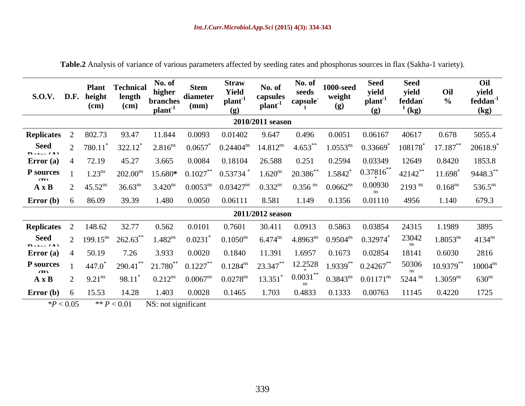|                                                   | S.O.V. D.F. height Technical No. of<br>s.O.V. D.F. height length higher d.<br>(cm) (cm) $\frac{1}{2}$ branches d.                                                                                                                                                |                                                                                                                                                                                |                                                                                                                      |                                                                | seeds $\begin{array}{c} \text{1000-seed} \\ \text{ceeds} \\ \text{capsule} \end{array}$ weight $\begin{array}{c} \text{1000-seed} \\ \text{weight} \\ \text{(g)} \end{array}$ | yield<br>feddan <sup>-1</sup> (kg) | yield<br>feddan <sup>-</sup>                         |  |
|---------------------------------------------------|------------------------------------------------------------------------------------------------------------------------------------------------------------------------------------------------------------------------------------------------------------------|--------------------------------------------------------------------------------------------------------------------------------------------------------------------------------|----------------------------------------------------------------------------------------------------------------------|----------------------------------------------------------------|-------------------------------------------------------------------------------------------------------------------------------------------------------------------------------|------------------------------------|------------------------------------------------------|--|
|                                                   |                                                                                                                                                                                                                                                                  |                                                                                                                                                                                |                                                                                                                      |                                                                |                                                                                                                                                                               |                                    | (kg)                                                 |  |
|                                                   |                                                                                                                                                                                                                                                                  |                                                                                                                                                                                |                                                                                                                      | 2010/2011 season                                               |                                                                                                                                                                               |                                    |                                                      |  |
| <b>Replicates</b>                                 |                                                                                                                                                                                                                                                                  |                                                                                                                                                                                |                                                                                                                      |                                                                |                                                                                                                                                                               |                                    |                                                      |  |
|                                                   | <b>Seed</b> 2 780.11 <sup>*</sup> 322.12 <sup>*</sup> 2.816 <sup>ns</sup> 0.0657 <sup>*</sup>                                                                                                                                                                    |                                                                                                                                                                                |                                                                                                                      | $0.24404^{\text{ns}}$ 14.812 <sup>ns</sup> 4.653 <sup>**</sup> |                                                                                                                                                                               |                                    | $108178^*$ 17.187 <sup>**</sup> 20618.9 <sup>*</sup> |  |
| <b>Error</b> (a) $4$                              |                                                                                                                                                                                                                                                                  | 45.27 3.665                                                                                                                                                                    |                                                                                                                      |                                                                |                                                                                                                                                                               |                                    |                                                      |  |
|                                                   | <b>P</b> sources 1 $1.23^{\text{ns}}$ 202.00 <sup>ns</sup> 15.680* 0.1027 <sup>**</sup> 0.53734 <sup>*</sup> 1.620 <sup>ns</sup> 20.386 <sup>**</sup> 1.5842 <sup>*</sup> 0.37816 <sup>**</sup> 42142 <sup>**</sup> 11.698 <sup>*</sup> 9448.3 <sup>**</sup>     |                                                                                                                                                                                |                                                                                                                      |                                                                |                                                                                                                                                                               |                                    |                                                      |  |
|                                                   | <b>A</b> x <b>B</b> 2 45.52 <sup>ns</sup> 36.63 <sup>ns</sup> 3.420 <sup>ns</sup>                                                                                                                                                                                |                                                                                                                                                                                | $0.0053^{ns}$ $0.03427^{ns}$ $0.332^{ns}$ $0.356^{ns}$ $0.0662^{ns}$ $0.00930$ $2193^{ns}$ $0.168^{ns}$ $536.5^{ns}$ |                                                                |                                                                                                                                                                               |                                    |                                                      |  |
| <b>Error</b> ( <b>b</b> ) $\qquad 6 \qquad 86.09$ |                                                                                                                                                                                                                                                                  |                                                                                                                                                                                |                                                                                                                      |                                                                |                                                                                                                                                                               |                                    |                                                      |  |
|                                                   |                                                                                                                                                                                                                                                                  |                                                                                                                                                                                |                                                                                                                      |                                                                |                                                                                                                                                                               |                                    |                                                      |  |
|                                                   |                                                                                                                                                                                                                                                                  |                                                                                                                                                                                |                                                                                                                      | 2011/2012 season                                               |                                                                                                                                                                               |                                    |                                                      |  |
| <b>Replicates</b> 2 148.62                        |                                                                                                                                                                                                                                                                  |                                                                                                                                                                                |                                                                                                                      |                                                                |                                                                                                                                                                               |                                    |                                                      |  |
|                                                   | <b>Seed</b> 2 199.15 <sup>ns</sup> 262.63 <sup>**</sup> 1.482 <sup>ns</sup> 0.0231 <sup>*</sup> 0.1050 <sup>ns</sup> 6.474 <sup>ns</sup> 4.8963 <sup>ns</sup> 0.9504 <sup>ns</sup> 0.32974 <sup>*</sup> <sup>23042</sup> 1.8053 <sup>ns</sup> 4134 <sup>ns</sup> |                                                                                                                                                                                |                                                                                                                      |                                                                |                                                                                                                                                                               |                                    |                                                      |  |
| <b>Error</b> (a) $\quad$ 4                        |                                                                                                                                                                                                                                                                  |                                                                                                                                                                                |                                                                                                                      |                                                                |                                                                                                                                                                               |                                    |                                                      |  |
|                                                   | <b>P</b> sources 1 447.0 <sup>*</sup> 290.41 <sup>**</sup> 21.780 <sup>**</sup> 0.1227 <sup>**</sup> 0.1284 <sup>ns</sup> 23.347 <sup>**</sup> 12.2528 1.9339 <sup>**</sup> 0.24267 <sup>**</sup> 50306 10.9379 <sup>**</sup> 10004 <sup>ns</sup>                |                                                                                                                                                                                |                                                                                                                      |                                                                |                                                                                                                                                                               |                                    |                                                      |  |
|                                                   | <b>A x B</b> 2 9.21 <sup>ns</sup> 98.11 <sup>*</sup> 0.212 <sup>ns</sup> 0.0067 <sup>ns</sup> 0.0278 <sup>ns</sup> 13.351 <sup>*</sup> 0.0031 <sup>**</sup> 0.3843 <sup>ns</sup> 0.01171 <sup>ns</sup> 5244 <sup>ns</sup> 1.3059 <sup>ns</sup> 630 <sup>ns</sup> |                                                                                                                                                                                |                                                                                                                      |                                                                |                                                                                                                                                                               |                                    |                                                      |  |
|                                                   |                                                                                                                                                                                                                                                                  |                                                                                                                                                                                |                                                                                                                      |                                                                |                                                                                                                                                                               |                                    |                                                      |  |
|                                                   | <b>Error (b)</b> 6 15.53 14.28 1.403 0.0028 0.1465 1.703                                                                                                                                                                                                         | $\mathbf{A} \mathbf{D}$ and $\mathbf{A} \mathbf{D}$ and $\mathbf{A} \mathbf{D}$ and $\mathbf{A} \mathbf{D}$ and $\mathbf{A} \mathbf{D}$ and $\mathbf{A} \mathbf{D} \mathbf{D}$ |                                                                                                                      |                                                                | 0.4833<br>0.1333                                                                                                                                                              | 0.00763 11145 0.4220 1725          |                                                      |  |

**Table.2** Analysis of variance of various parameters affected by seeding rates and phosphorus sources in flax (Sakha-1 variety).

*\*P* < 0.05 *\*\* P* < 0.01 NS: not significant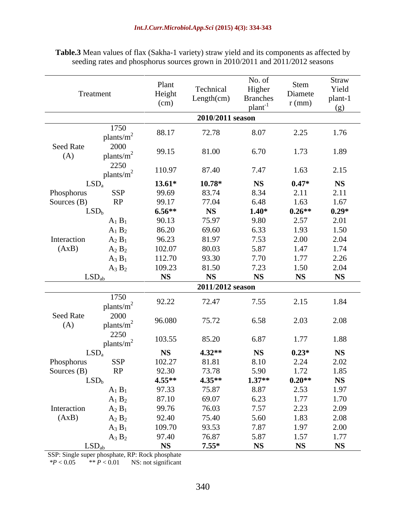|                  |                              |           |                  | No. of                          |           | Straw     |
|------------------|------------------------------|-----------|------------------|---------------------------------|-----------|-----------|
|                  |                              | Plant     | Technical        | Higher                          | Stem      | Yield     |
|                  | Treatment                    | Height    |                  |                                 | Diamete   |           |
|                  |                              | (cm)      | Length(cm)       | <b>Branches</b><br>$plant^{-1}$ | $r$ (mm)  | plant-1   |
|                  |                              |           |                  |                                 |           | (g)       |
|                  |                              |           | 2010/2011 season |                                 |           |           |
|                  | 1750                         | 88.17     | 72.78            | 8.07                            | 2.25      | 1.76      |
|                  | plants/m <sup>2</sup>        |           |                  |                                 |           |           |
| <b>Seed Rate</b> | 2000                         | 99.15     | 81.00            | 6.70                            | 1.73      | 1.89      |
| (A)              | plants/m <sup>2</sup>        |           |                  |                                 |           |           |
|                  | 2250                         |           |                  |                                 |           |           |
|                  | plants/ $m^2$                | 110.97    | 87.40            | 7.47                            | 1.63      | 2.15      |
| LSD <sub>a</sub> |                              | $13.61*$  | $10.78*$         | <b>NS</b>                       | $0.47*$   | <b>NS</b> |
| Phosphorus       | <b>SSP</b>                   | 99.69     | 83.74            | 8.34                            | 2.11      | 2.11      |
| Sources $(B)$    | RP                           | 99.17     | 77.04            | 6.48                            | 1.63      | 1.67      |
|                  | LSD <sub>b</sub>             | $6.56**$  | <b>NS</b>        | $1.40*$                         | $0.26**$  | $0.29*$   |
|                  | $A_1 B_1$                    | 90.13     | 75.97            | 9.80                            | 2.57      | 2.01      |
|                  | $A_1 B_2$                    | 86.20     | 69.60            | 6.33                            | 1.93      | 1.50      |
| Interaction      | $A_2 B_1$                    | 96.23     | 81.97            | 7.53                            | 2.00      | 2.04      |
| (AxB)            | $A_2 B_2$                    | 102.07    | 80.03            | 5.87                            | 1.47      | 1.74      |
|                  | $A_3 B_1$                    | 112.70    | 93.30            | 7.70                            | 1.77      | 2.26      |
|                  | $A_3 B_2$                    | 109.23    | 81.50            | 7.23                            | 1.50      | 2.04      |
|                  |                              | <b>NS</b> | <b>NS</b>        | <b>NS</b>                       | NS        | <b>NS</b> |
|                  | LSD <sub>ab</sub>            |           |                  |                                 |           |           |
|                  |                              |           | 2011/2012 season |                                 |           |           |
|                  | 1750                         | 92.22     | 72.47            | 7.55                            | 2.15      | 1.84      |
|                  | plants/m <sup>2</sup>        |           |                  |                                 |           |           |
| <b>Seed Rate</b> | 2000                         | 96.080    | 75.72            | 6.58                            | 2.03      | 2.08      |
| (A)              | plants/m <sup>2</sup>        |           |                  |                                 |           |           |
|                  | 2250                         | 103.55    | 85.20            | 6.87                            | 1.77      | 1.88      |
|                  | plants/ $m^2$                |           |                  |                                 |           |           |
|                  | LSD <sub>a</sub>             | <b>NS</b> | $4.32**$         | <b>NS</b>                       | $0.23*$   | <b>NS</b> |
| Phosphorus       | <b>SSP</b>                   | 102.27    | 81.81            | 8.10                            | 2.24      | 2.02      |
| Sources (B)      | RP                           | 92.30     | 73.78            | 5.90                            | 1.72      | 1.85      |
|                  | LSD <sub>b</sub>             | $4.55**$  | $4.35**$         | $1.37**$                        | $0.20**$  | <b>NS</b> |
|                  | $A_1 B_1$                    | 97.33     | 75.87            | 8.87                            | 2.53      | 1.97      |
|                  | $A_1 B_2$                    | 87.10     | 69.07            | 6.23                            | 1.77      | 1.70      |
| Interaction      | $A_2 B_1$                    | 99.76     | 76.03            | 7.57                            | 2.23      | 2.09      |
| (AxB)            | $A_2 B_2$                    | 92.40     | 75.40            | 5.60                            | 1.83      | 2.08      |
|                  | $\mathbf{A}_3\,\mathbf{B}_1$ | 109.70    | 93.53            | 7.87                            | 1.97      | 2.00      |
|                  | $A_3 B_2$                    | 97.40     | 76.87            | 5.87                            | 1.57      | 1.77      |
|                  | LSD <sub>ab</sub>            | <b>NS</b> | $7.55*$          | <b>NS</b>                       | <b>NS</b> | <b>NS</b> |

**Table.3** Mean values of flax (Sakha-1 variety) straw yield and its components as affected by seeding rates and phosphorus sources grown in 2010/2011 and 2011/2012 seasons

SSP: Single super phosphate, RP: Rock phosphate

 *\*P* < 0.05 *\*\* P* < 0.01 NS: not significant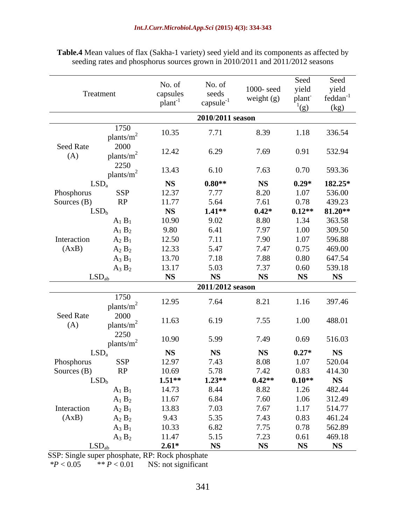|                         | Treatment              | No. of<br>capsules<br>$plant^{-1}$ | No. of<br>seeds<br>$capsule^{-1}$ | 1000- seed<br>weight (g) | Seed<br>yield<br>plant | Seed<br>yield<br>feddan <sup>-1</sup> |
|-------------------------|------------------------|------------------------------------|-----------------------------------|--------------------------|------------------------|---------------------------------------|
|                         |                        |                                    |                                   |                          | (g)                    | (kg)                                  |
|                         |                        |                                    | 2010/2011 season                  |                          |                        |                                       |
|                         | 1750<br>plants/ $m^2$  | 10.35                              | 7.71                              | 8.39                     | 1.18                   | 336.54                                |
| <b>Seed Rate</b><br>(A) | 2000<br>plants/ $m^2$  | 12.42                              | 6.29                              | 7.69                     | 0.91                   | 532.94                                |
|                         | 2250<br>plants/ $m^2$  | 13.43                              | 6.10                              | 7.63                     | 0.70                   | 593.36                                |
|                         | LSD <sub>a</sub>       | <b>NS</b>                          | $0.80**$                          | <b>NS</b>                | $0.29*$                | 182.25*                               |
| Phosphorus              | <b>SSP</b>             | 12.37                              | 7.77                              | 8.20                     | 1.07                   | 536.00                                |
| Sources (B)             | $\mathbf{RP}$          | 11.77                              | 5.64                              | 7.61                     | 0.78                   | 439.23                                |
|                         | LSD <sub>b</sub>       | <b>NS</b>                          | $1.41**$<br>9.02                  | $0.42*$<br>8.80          | $0.12**$               | $81.20**$                             |
|                         | $A_1 B_1$              | 10.90<br>9.80                      | 6.41                              | 7.97                     | 1.34<br>1.00           | 363.58                                |
|                         | $A_1 B_2$<br>$A_2 B_1$ | 12.50                              | 7.11                              | 7.90                     | 1.07                   | 309.50<br>596.88                      |
| Interaction<br>(AxB)    | $A_2 B_2$              | 12.33                              | 5.47                              | 7.47                     | 0.75                   | 469.00                                |
|                         | $A_3 B_1$              | 13.70                              | 7.18                              | 7.88                     | 0.80                   | 647.54                                |
|                         | $A_3 B_2$              | 13.17                              | 5.03                              | 7.37                     | 0.60                   | 539.18                                |
|                         | LSD <sub>ab</sub>      | <b>NS</b>                          | <b>NS</b>                         | <b>NS</b>                | <b>NS</b>              | <b>NS</b>                             |
|                         |                        |                                    | 2011/2012 season                  |                          |                        |                                       |
|                         | 1750                   |                                    |                                   |                          |                        |                                       |
|                         | plants/ $m^2$          | 12.95                              | 7.64                              | 8.21                     | 1.16                   | 397.46                                |
| <b>Seed Rate</b>        | 2000                   | 11.63                              |                                   |                          |                        |                                       |
| (A)                     | plants/ $m^2$          |                                    | 6.19                              | 7.55                     | 1.00                   | 488.01                                |
|                         | 2250<br>plants/ $m^2$  | 10.90                              | 5.99                              | 7.49                     | 0.69                   | 516.03                                |
|                         | LSD <sub>a</sub>       | <b>NS</b>                          | <b>NS</b>                         | <b>NS</b>                | $0.27*$                | <b>NS</b>                             |
| Phosphorus              | <b>SSP</b>             | 12.97                              | 7.43                              | 8.08                     | 1.07                   | 520.04                                |
| Sources (B)             | RP                     | 10.69                              | 5.78                              | 7.42                     | 0.83                   | 414.30                                |
|                         | LSD <sub>b</sub>       | $1.51**$                           | $1.23**$                          | $0.42**$                 | $0.10**$               | <b>NS</b>                             |
|                         | $A_1 B_1$              | 14.73                              | 8.44                              | 8.82                     | 1.26                   | 482.44                                |
|                         | $A_1 B_2$              | 11.67                              | 6.84                              | 7.60                     | 1.06                   | 312.49                                |
| Interaction             | $A_2 B_1$              | 13.83                              | 7.03                              | 7.67                     | 1.17                   | 514.77                                |
| (AxB)                   | $A_2 B_2$              | 9.43                               | 5.35                              | 7.43                     | 0.83                   | 461.24                                |
|                         | $A_3 B_1$              | 10.33                              | 6.82                              | 7.75                     | 0.78                   | 562.89                                |
|                         | $A_3 B_2$              | 11.47                              | 5.15                              | 7.23                     | 0.61                   | 469.18                                |
|                         | LSD <sub>ab</sub>      | $2.61*$                            | <b>NS</b>                         | <b>NS</b>                | <b>NS</b>              | <b>NS</b>                             |

**Table.4** Mean values of flax (Sakha-1 variety) seed yield and its components as affected by seeding rates and phosphorus sources grown in 2010/2011 and 2011/2012 seasons

SSP: Single super phosphate, RP: Rock phosphate

 $*P < 0.05$   $*$   $*$   $P < 0.01$  NS: not significant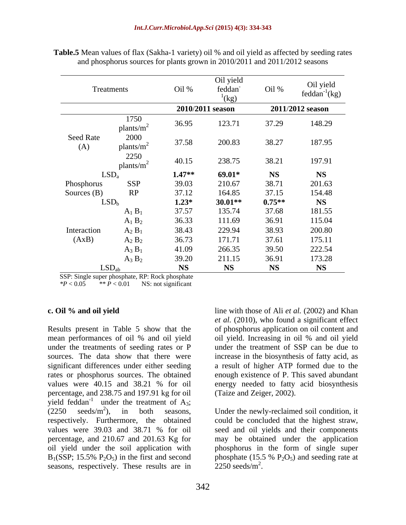|                         | Treatments                    | Oil %     | Oil yield<br>feddan<br>$\frac{1}{2}$ (kg) | Oil %     | Oil yield<br>feddan <sup>-1</sup> (kg) |
|-------------------------|-------------------------------|-----------|-------------------------------------------|-----------|----------------------------------------|
|                         |                               |           | 2010/2011 season                          |           | 2011/2012 season                       |
|                         | 1750<br>plants/m <sup>2</sup> | 36.95     | 123.71                                    | 37.29     | 148.29                                 |
| <b>Seed Rate</b><br>(A) | 2000<br>plants/m              | 37.58     | 200.83                                    | 38.27     | 187.95                                 |
|                         | 2250<br>plants/m              | 40.15     | 238.75                                    | 38.21     | 197.91                                 |
|                         | LSD <sub>a</sub>              | $1.47**$  | $69.01*$                                  | <b>NS</b> | <b>NS</b>                              |
| Phosphorus              | <b>SSP</b>                    | 39.03     | 210.67                                    | 38.71     | 201.63                                 |
| Sources $(B)$           | RP                            | 37.12     | 164.85                                    | 37.15     | 154.48                                 |
|                         | LSD <sub>b</sub>              | $1.23*$   | $30.01**$                                 | $0.75**$  | <b>NS</b>                              |
|                         | $A_1 B_1$                     | 37.57     | 135.74                                    | 37.68     | 181.55                                 |
|                         | $A_1 B_2$                     | 36.33     | 111.69                                    | 36.91     | 115.04                                 |
| Interaction             | $A_2 B_1$                     | 38.43     | 229.94                                    | 38.93     | 200.80                                 |
| (AxB)                   | $A_2 B_2$                     | 36.73     | 171.71                                    | 37.61     | 175.11                                 |
|                         | $A_3 B_1$                     | 41.09     | 266.35                                    | 39.50     | 222.54                                 |
|                         | $A_3 B_2$                     | 39.20     | 211.15                                    | 36.91     | 173.28                                 |
|                         | LSD <sub>ab</sub>             | <b>NS</b> | <b>NS</b>                                 | <b>NS</b> | <b>NS</b>                              |

**Table.5** Mean values of flax (Sakha-1 variety) oil % and oil yield as affected by seeding rates and phosphorus sources for plants grown in 2010/2011 and 2011/2012 seasons

SSP: Single super phosphate, RP: Rock phosphate<br> $*P < 0.05$  \*\*  $P < 0.01$  NS: not significant

*\*P* < 0.05 *\*\* P* < 0.01 NS: not significant

Results present in Table 5 show that the of phosphorus application on oil content and mean performances of oil % and oil yield oil yield. Increasing in oil % and oil yield under the treatments of seeding rates or P sources. The data show that there were increase in the biosynthesis of fatty acid, as significant differences under either seeding a result of higher ATP formed due to the rates or phosphorus sources. The obtained values were 40.15 and 38.21 % for oil energy needed to fatty acid biosynthesis percentage, and 238.75 and 197.91 kg for oil yield feddan<sup>-1</sup> under the treatment of  $A_3$ ;  $(2250 \text{ seeds/m}^2)$ , in both seasons, Under the newly-reclaimed soil condition, it respectively. Furthermore, the obtained could be concluded that the highest straw, values were 39.03 and 38.71 % for oil seed and oil yields and their components percentage, and 210.67 and 201.63 Kg for may be obtained under the application oil yield under the soil application with phosphorus in the form of single super  $B_1(SSP; 15.5\% P_2O_5)$  in the first and second phosphate (15.5 %  $P_2O_5$ ) and seeding rate at seasons, respectively. These results are in

**c. Oil % and oil yield** line with those of Ali *et al.* (2002) and Khan *et al.* (2010), who found a significant effect under the treatment of SSP can be due to enough existence of P. This saved abundant energy needed to fatty acid biosynthesis (Taize and Zeiger, 2002).

> $2250 \text{ seeds/m}^2$ .  $2250$  seeds/m<sup>2</sup>.